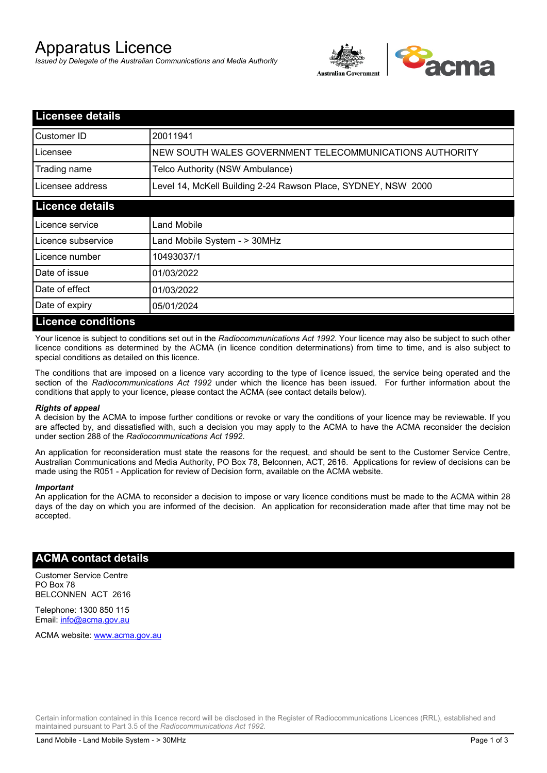# Apparatus Licence

*Issued by Delegate of the Australian Communications and Media Authority*



| <b>Licensee details</b>   |                                                               |
|---------------------------|---------------------------------------------------------------|
| Customer ID               | 20011941                                                      |
| Licensee                  | NEW SOUTH WALES GOVERNMENT TELECOMMUNICATIONS AUTHORITY       |
| Trading name              | Telco Authority (NSW Ambulance)                               |
| Licensee address          | Level 14, McKell Building 2-24 Rawson Place, SYDNEY, NSW 2000 |
| <b>Licence details</b>    |                                                               |
| l Licence service         | Land Mobile                                                   |
| Licence subservice        | Land Mobile System - > 30MHz                                  |
| Licence number            | 10493037/1                                                    |
| Date of issue             | 01/03/2022                                                    |
| Date of effect            | 01/03/2022                                                    |
| Date of expiry            | 05/01/2024                                                    |
| <b>Licence conditions</b> |                                                               |

Your licence is subject to conditions set out in the *Radiocommunications Act 1992*. Your licence may also be subject to such other licence conditions as determined by the ACMA (in licence condition determinations) from time to time, and is also subject to special conditions as detailed on this licence.

The conditions that are imposed on a licence vary according to the type of licence issued, the service being operated and the section of the *Radiocommunications Act 1992* under which the licence has been issued. For further information about the conditions that apply to your licence, please contact the ACMA (see contact details below).

#### *Rights of appeal*

A decision by the ACMA to impose further conditions or revoke or vary the conditions of your licence may be reviewable. If you are affected by, and dissatisfied with, such a decision you may apply to the ACMA to have the ACMA reconsider the decision under section 288 of the *Radiocommunications Act 1992*.

An application for reconsideration must state the reasons for the request, and should be sent to the Customer Service Centre, Australian Communications and Media Authority, PO Box 78, Belconnen, ACT, 2616. Applications for review of decisions can be made using the R051 - Application for review of Decision form, available on the ACMA website.

#### *Important*

An application for the ACMA to reconsider a decision to impose or vary licence conditions must be made to the ACMA within 28 days of the day on which you are informed of the decision. An application for reconsideration made after that time may not be accepted.

### **ACMA contact details**

Customer Service Centre PO Box 78 BELCONNEN ACT 2616

Telephone: 1300 850 115 Email: info@acma.gov.au

ACMA website: www.acma.gov.au

Certain information contained in this licence record will be disclosed in the Register of Radiocommunications Licences (RRL), established and maintained pursuant to Part 3.5 of the *Radiocommunications Act 1992.*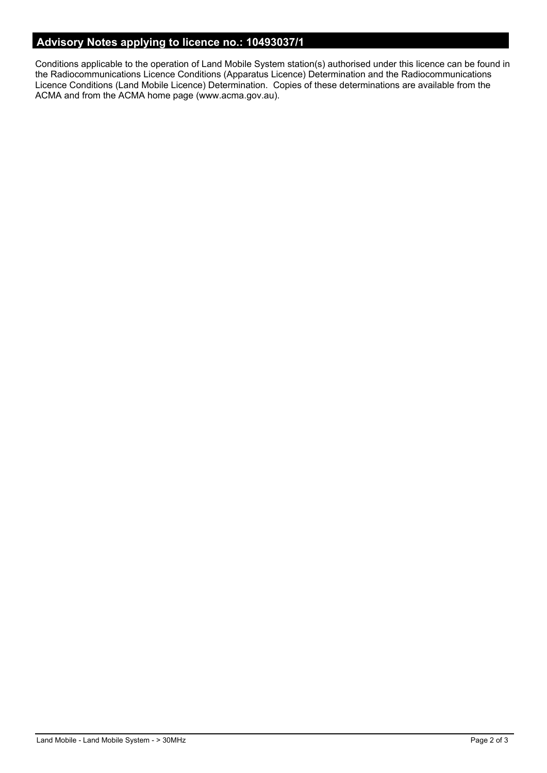# **Advisory Notes applying to licence no.: 10493037/1**

Conditions applicable to the operation of Land Mobile System station(s) authorised under this licence can be found in the Radiocommunications Licence Conditions (Apparatus Licence) Determination and the Radiocommunications Licence Conditions (Land Mobile Licence) Determination. Copies of these determinations are available from the ACMA and from the ACMA home page (www.acma.gov.au).